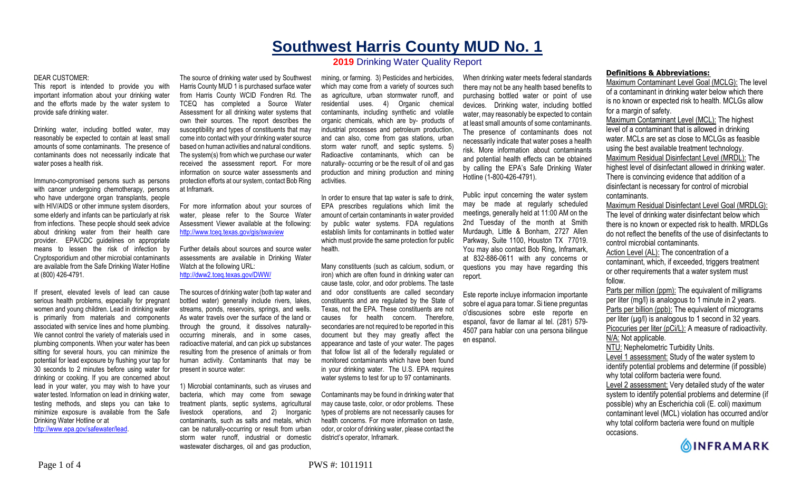# **Southwest Harris County MUD No. 1 2019** Drinking Water Quality Report

#### DEAR CUSTOMER:

This report is intended to provide you with important information about your drinking water and the efforts made by the water system to provide safe drinking water.

Drinking water, including bottled water, may reasonably be expected to contain at least small amounts of some contaminants. The presence of contaminants does not necessarily indicate that water poses a health risk.

Immuno-compromised persons such as persons with cancer undergoing chemotherapy, persons who have undergone organ transplants, people with HIV/AIDS or other immune system disorders, some elderly and infants can be particularly at risk from infections. These people should seek advice about drinking water from their health care provider. EPA/CDC guidelines on appropriate means to lessen the risk of infection by Cryptosporidium and other microbial contaminants are available from the Safe Drinking Water Hotline at (800) 426-4791.

If present, elevated levels of lead can cause serious health problems, especially for pregnant women and young children. Lead in drinking water is primarily from materials and components associated with service lines and home plumbing. We cannot control the variety of materials used in plumbing components. When your water has been sitting for several hours, you can minimize the potential for lead exposure by flushing your tap for 30 seconds to 2 minutes before using water for drinking or cooking. If you are concerned about lead in your water, you may wish to have your water tested. Information on lead in drinking water, testing methods, and steps you can take to minimize exposure is available from the Safe Drinking Water Hotline or at http://www.epa.gov/safewater/lead.

The source of drinking water used by Southwest Harris County MUD 1 is purchased surface water from Harris County WCID Fondren Rd. The TCEQ has completed a Source Water Assessment for all drinking water systems that own their sources. The report describes the susceptibility and types of constituents that may come into contact with your drinking water source based on human activities and natural conditions. The system(s) from which we purchase our water received the assessment report. For more information on source water assessments and protection efforts at our system, contact Bob Ring at Inframark.

For more information about your sources of water, please refer to the Source Water Assessment Viewer available at the following: http://www.tceq.texas.gov/gis/swaview

Further details about sources and source water assessments are available in Drinking Water Watch at the following URL: http://dww2.tceq.texas.gov/DWW/

The sources of drinking water (both tap water and bottled water) generally include rivers, lakes, streams, ponds, reservoirs, springs, and wells. As water travels over the surface of the land or through the ground, it dissolves naturallyoccurring minerals, and in some cases, radioactive material, and can pick up substances resulting from the presence of animals or from human activity. Contaminants that may be present in source water:

1) Microbial contaminants, such as viruses and bacteria, which may come from sewage treatment plants, septic systems, agricultural livestock operations, and 2) Inorganic contaminants, such as salts and metals, which can be naturally-occurring or result from urban storm water runoff, industrial or domestic wastewater discharges, oil and gas production.

mining, or farming. 3) Pesticides and herbicides, which may come from a variety of sources such as agriculture, urban stormwater runoff, and residential uses. 4) Organic chemical contaminants, including synthetic and volatile organic chemicals, which are by- products of industrial processes and petroleum production, and can also, come from gas stations, urban storm water runoff, and septic systems. 5) Radioactive contaminants, which can be naturally- occurring or be the result of oil and gas production and mining production and mining activities.

In order to ensure that tap water is safe to drink, EPA prescribes regulations which limit the amount of certain contaminants in water provided by public water systems. FDA regulations establish limits for contaminants in bottled water which must provide the same protection for public health.

Many constituents (such as calcium, sodium, or iron) which are often found in drinking water can cause taste, color, and odor problems. The taste and odor constituents are called secondary constituents and are regulated by the State of Texas, not the EPA. These constituents are not causes for health concern. Therefore, secondaries are not required to be reported in this document but they may greatly affect the appearance and taste of your water. The pages that follow list all of the federally regulated or monitored contaminants which have been found in your drinking water. The U.S. EPA requires water systems to test for up to 97 contaminants.

Contaminants may be found in drinking water that may cause taste, color, or odor problems. These types of problems are not necessarily causes for health concerns. For more information on taste, odor, or color of drinking water, please contact the district's operator, Inframark.

When drinking water meets federal standards there may not be any health based benefits to purchasing bottled water or point of use devices. Drinking water, including bottled water, may reasonably be expected to contain at least small amounts of some contaminants. The presence of contaminants does not necessarily indicate that water poses a health risk. More information about contaminants and potential health effects can be obtained by calling the EPA's Safe Drinking Water Hotline (1-800-426-4791).

Public input concerning the water system may be made at regularly scheduled meetings, generally held at 11:00 AM on the 2nd Tuesday of the month at Smith Murdaugh, Little & Bonham, 2727 Allen Parkway, Suite 1100, Houston TX 77019. You may also contact Bob Ring, Inframark, at 832-886-0611 with any concerns or questions you may have regarding this report.

Este reporte incluye informacion importante sobre el agua para tomar. Si tiene preguntas o'discusiones sobre este reporte en espanol, favor de llamar al tel. (281) 579- 4507 para hablar con una persona bilingue en espanol.

### **Definitions & Abbreviations:**

Maximum Contaminant Level Goal (MCLG): The level of a contaminant in drinking water below which there is no known or expected risk to health. MCLGs allow for a margin of safety.

Maximum Contaminant Level (MCL): The highest level of a contaminant that is allowed in drinking water. MCLs are set as close to MCLGs as feasible using the best available treatment technology. Maximum Residual Disinfectant Level (MRDL): The highest level of disinfectant allowed in drinking water. There is convincing evidence that addition of a disinfectant is necessary for control of microbial contaminants.

Maximum Residual Disinfectant Level Goal (MRDLG): The level of drinking water disinfectant below which there is no known or expected risk to health. MRDLGs do not reflect the benefits of the use of disinfectants to control microbial contaminants.

Action Level (AL): The concentration of a contaminant, which, if exceeded, triggers treatment or other requirements that a water system must follow.

Parts per million (ppm): The equivalent of milligrams per liter (mg/l) is analogous to 1 minute in 2 years. Parts per billion (ppb): The equivalent of micrograms per liter  $(\mu g/l)$  is analogous to 1 second in 32 years. Picocuries per liter (pCi/L): A measure of radioactivity. N/A: Not applicable.

NTU: Nephelometric Turbidity Units.

Level 1 assessment: Study of the water system to identify potential problems and determine (if possible)

why total coliform bacteria were found.

Level 2 assessment: Very detailed study of the water system to identify potential problems and determine (if possible) why an Escherichia coli (E. coli) maximum contaminant level (MCL) violation has occurred and/or why total coliform bacteria were found on multiple occasions.

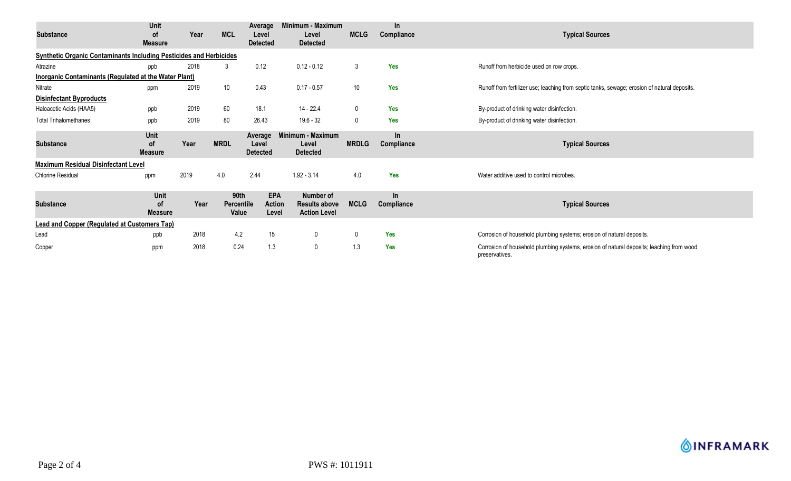| <b>Substance</b>                                                          | Unit<br>0f<br><b>Measure</b>        | Year | <b>MCL</b>                  | Average<br>Level<br><b>Detected</b>  | Minimum - Maximum<br>Level<br><b>Detected</b>            | <b>MCLG</b>  | $\ln$<br>Compliance | <b>Typical Sources</b>                                                                                     |  |  |
|---------------------------------------------------------------------------|-------------------------------------|------|-----------------------------|--------------------------------------|----------------------------------------------------------|--------------|---------------------|------------------------------------------------------------------------------------------------------------|--|--|
| <b>Synthetic Organic Contaminants Including Pesticides and Herbicides</b> |                                     |      |                             |                                      |                                                          |              |                     |                                                                                                            |  |  |
| Atrazine                                                                  | ppb                                 | 2018 | 3                           | 0.12                                 | $0.12 - 0.12$                                            | 3            | Yes                 | Runoff from herbicide used on row crops.                                                                   |  |  |
| Inorganic Contaminants (Regulated at the Water Plant)                     |                                     |      |                             |                                      |                                                          |              |                     |                                                                                                            |  |  |
| Nitrate                                                                   | ppm                                 | 2019 | 10 <sup>°</sup>             | 0.43                                 | $0.17 - 0.57$                                            | 10           | Yes                 | Runoff from fertilizer use; leaching from septic tanks, sewage; erosion of natural deposits.               |  |  |
| <b>Disinfectant Byproducts</b>                                            |                                     |      |                             |                                      |                                                          |              |                     |                                                                                                            |  |  |
| Haloacetic Acids (HAA5)                                                   | ppb                                 | 2019 | 60                          | 18.1                                 | 14 - 22.4                                                | $\mathbf 0$  | Yes                 | By-product of drinking water disinfection.                                                                 |  |  |
| <b>Total Trihalomethanes</b>                                              | ppb                                 | 2019 | 80                          | 26.43                                | $19.6 - 32$                                              | $\mathbf{0}$ | <b>Yes</b>          | By-product of drinking water disinfection.                                                                 |  |  |
| <b>Substance</b>                                                          | Unit<br>0f<br><b>Measure</b>        | Year | <b>MRDL</b>                 | Average<br>Level<br><b>Detected</b>  | Minimum - Maximum<br>Level<br><b>Detected</b>            | <b>MRDLG</b> | In.<br>Compliance   | <b>Typical Sources</b>                                                                                     |  |  |
| <b>Maximum Residual Disinfectant Level</b>                                |                                     |      |                             |                                      |                                                          |              |                     |                                                                                                            |  |  |
| <b>Chlorine Residual</b>                                                  | ppm                                 | 2019 | 4.0                         | 2.44                                 | $1.92 - 3.14$                                            | 4.0          | <b>Yes</b>          | Water additive used to control microbes.                                                                   |  |  |
| <b>Substance</b>                                                          | Unit<br><b>of</b><br><b>Measure</b> | Year | 90th<br>Percentile<br>Value | <b>EPA</b><br><b>Action</b><br>Level | Number of<br><b>Results above</b><br><b>Action Level</b> | <b>MCLG</b>  | $\ln$<br>Compliance | <b>Typical Sources</b>                                                                                     |  |  |
| Lead and Copper (Regulated at Customers Tap)                              |                                     |      |                             |                                      |                                                          |              |                     |                                                                                                            |  |  |
| Lead                                                                      | ppb                                 | 2018 | 4.2                         | 15                                   | $\mathbf 0$                                              | $\mathbf{0}$ | <b>Yes</b>          | Corrosion of household plumbing systems; erosion of natural deposits.                                      |  |  |
| Copper                                                                    | ppm                                 | 2018 | 0.24                        | 1.3                                  | $\mathbf 0$                                              | 1.3          | <b>Yes</b>          | Corrosion of household plumbing systems, erosion of natural deposits; leaching from wood<br>preservatives. |  |  |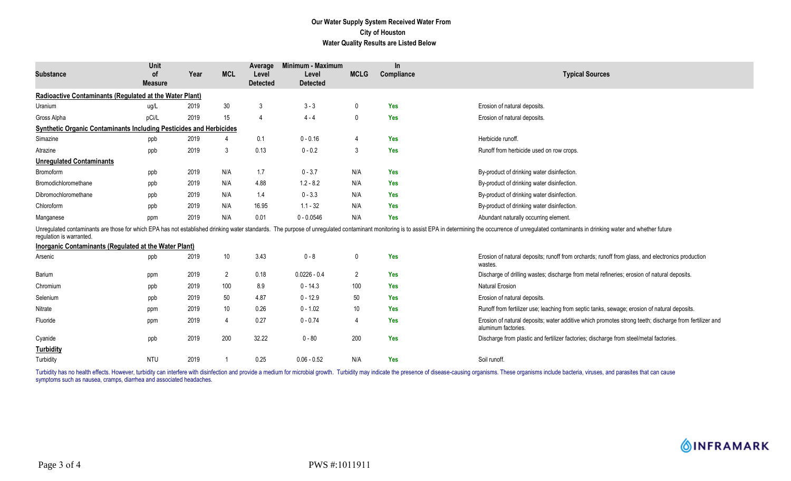## **Our Water Supply System Received Water From City of Houston Water Quality Results are Listed Below**

| <b>Substance</b>                                                          | Unit<br>0f<br><b>Measure</b> | Year | <b>MCL</b>      | Average<br>Level<br><b>Detected</b> | Minimum - Maximum<br>Level<br><b>Detected</b> | <b>MCLG</b>    | <b>In</b><br>Compliance | <b>Typical Sources</b>                                                                                                                                                                                                         |
|---------------------------------------------------------------------------|------------------------------|------|-----------------|-------------------------------------|-----------------------------------------------|----------------|-------------------------|--------------------------------------------------------------------------------------------------------------------------------------------------------------------------------------------------------------------------------|
| Radioactive Contaminants (Regulated at the Water Plant)                   |                              |      |                 |                                     |                                               |                |                         |                                                                                                                                                                                                                                |
| Uranium                                                                   | ug/L                         | 2019 | 30              | 3                                   | $3 - 3$                                       | 0              | <b>Yes</b>              | Erosion of natural deposits.                                                                                                                                                                                                   |
| Gross Alpha                                                               | pCi/L                        | 2019 | 15              | $\overline{4}$                      | $4 - 4$                                       | 0              | <b>Yes</b>              | Erosion of natural deposits.                                                                                                                                                                                                   |
| <b>Synthetic Organic Contaminants Including Pesticides and Herbicides</b> |                              |      |                 |                                     |                                               |                |                         |                                                                                                                                                                                                                                |
| Simazine                                                                  | ppb                          | 2019 |                 | 0.1                                 | $0 - 0.16$                                    | $\overline{4}$ | <b>Yes</b>              | Herbicide runoff.                                                                                                                                                                                                              |
| Atrazine                                                                  | ppb                          | 2019 | 3               | 0.13                                | $0 - 0.2$                                     | 3              | <b>Yes</b>              | Runoff from herbicide used on row crops.                                                                                                                                                                                       |
| <b>Unregulated Contaminants</b>                                           |                              |      |                 |                                     |                                               |                |                         |                                                                                                                                                                                                                                |
| Bromoform                                                                 | ppb                          | 2019 | N/A             | 1.7                                 | $0 - 3.7$                                     | N/A            | <b>Yes</b>              | By-product of drinking water disinfection.                                                                                                                                                                                     |
| Bromodichloromethane                                                      | ppb                          | 2019 | N/A             | 4.88                                | $1.2 - 8.2$                                   | N/A            | <b>Yes</b>              | By-product of drinking water disinfection.                                                                                                                                                                                     |
| Dibromochloromethane                                                      | ppb                          | 2019 | N/A             | 1.4                                 | $0 - 3.3$                                     | N/A            | <b>Yes</b>              | By-product of drinking water disinfection.                                                                                                                                                                                     |
| Chloroform                                                                | ppb                          | 2019 | N/A             | 16.95                               | $1.1 - 32$                                    | N/A            | <b>Yes</b>              | By-product of drinking water disinfection.                                                                                                                                                                                     |
| Manganese                                                                 | ppm                          | 2019 | N/A             | 0.01                                | $0 - 0.0546$                                  | N/A            | <b>Yes</b>              | Abundant naturally occurring element.                                                                                                                                                                                          |
| regulation is warranted.                                                  |                              |      |                 |                                     |                                               |                |                         | Unregulated contaminants are those for which EPA has not established drinking water standards. The purpose of unregulated contaminant monitoring is to assist EPA in determining the occurrence of unregulated contaminants in |
| Inorganic Contaminants (Regulated at the Water Plant)                     |                              |      |                 |                                     |                                               |                |                         |                                                                                                                                                                                                                                |
| Arsenic                                                                   | ppb                          | 2019 | 10 <sup>°</sup> | 3.43                                | $0 - 8$                                       | $\mathbf 0$    | Yes                     | Erosion of natural deposits; runoff from orchards; runoff from glass, and electronics production<br>wastes.                                                                                                                    |
| Barium                                                                    | ppm                          | 2019 | 2               | 0.18                                | $0.0226 - 0.4$                                | $\overline{2}$ | <b>Yes</b>              | Discharge of drilling wastes; discharge from metal refineries; erosion of natural deposits.                                                                                                                                    |
| Chromium                                                                  | ppb                          | 2019 | 100             | 8.9                                 | $0 - 14.3$                                    | 100            | <b>Yes</b>              | <b>Natural Erosion</b>                                                                                                                                                                                                         |
| Selenium                                                                  | ppb                          | 2019 | 50              | 4.87                                | $0 - 12.9$                                    | 50             | <b>Yes</b>              | Erosion of natural deposits.                                                                                                                                                                                                   |
| Nitrate                                                                   | ppm                          | 2019 | 10              | 0.26                                | $0 - 1.02$                                    | 10             | <b>Yes</b>              | Runoff from fertilizer use; leaching from septic tanks, sewage; erosion of natural deposits.                                                                                                                                   |
| Fluoride                                                                  | ppm                          | 2019 | 4               | 0.27                                | $0 - 0.74$                                    | -4             | <b>Yes</b>              | Erosion of natural deposits; water additive which promotes strong teeth; discharge from fertilizer and<br>aluminum factories.                                                                                                  |
| Cyanide                                                                   | ppb                          | 2019 | 200             | 32.22                               | $0 - 80$                                      | 200            | <b>Yes</b>              | Discharge from plastic and fertilizer factories; discharge from steel/metal factories.                                                                                                                                         |
| <b>Turbidity</b>                                                          |                              |      |                 |                                     |                                               |                |                         |                                                                                                                                                                                                                                |
| Turbidity                                                                 | <b>NTU</b>                   | 2019 |                 | 0.25                                | $0.06 - 0.52$                                 | N/A            | <b>Yes</b>              | Soil runoff.                                                                                                                                                                                                                   |

Turbidity has no health effects. However, turbidity can interfere with disinfection and provide a medium for microbial growth. Turbidity may indicate the presence of disease-causing organisms. These organisms include bacte symptoms such as nausea, cramps, diarrhea and associated headaches.